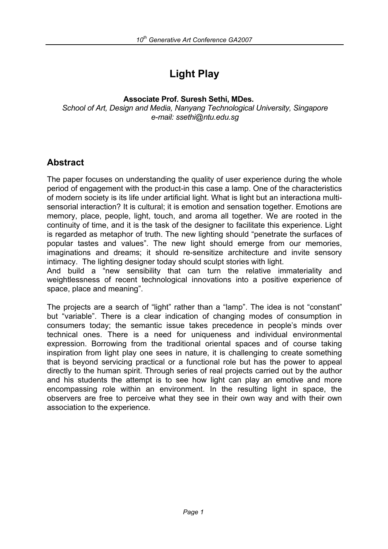# **Light Play**

#### **Associate Prof. Suresh Sethi, MDes.**

*School of Art, Design and Media, Nanyang Technological University, Singapore e-mail: ssethi@ntu.edu.sg* 

## **Abstract**

The paper focuses on understanding the quality of user experience during the whole period of engagement with the product-in this case a lamp. One of the characteristics of modern society is its life under artificial light. What is light but an interactiona multisensorial interaction? It is cultural; it is emotion and sensation together. Emotions are memory, place, people, light, touch, and aroma all together. We are rooted in the continuity of time, and it is the task of the designer to facilitate this experience. Light is regarded as metaphor of truth. The new lighting should "penetrate the surfaces of popular tastes and values". The new light should emerge from our memories, imaginations and dreams; it should re-sensitize architecture and invite sensory intimacy. The lighting designer today should sculpt stories with light.

And build a "new sensibility that can turn the relative immateriality and weightlessness of recent technological innovations into a positive experience of space, place and meaning".

The projects are a search of "light" rather than a "lamp". The idea is not "constant" but "variable". There is a clear indication of changing modes of consumption in consumers today; the semantic issue takes precedence in people's minds over technical ones. There is a need for uniqueness and individual environmental expression. Borrowing from the traditional oriental spaces and of course taking inspiration from light play one sees in nature, it is challenging to create something that is beyond servicing practical or a functional role but has the power to appeal directly to the human spirit. Through series of real projects carried out by the author and his students the attempt is to see how light can play an emotive and more encompassing role within an environment. In the resulting light in space, the observers are free to perceive what they see in their own way and with their own association to the experience.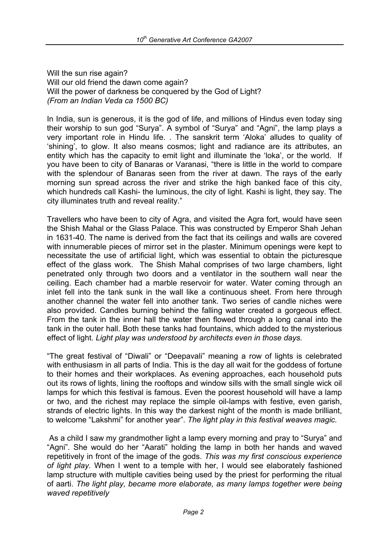Will the sun rise again? Will our old friend the dawn come again? Will the power of darkness be conquered by the God of Light? *(From an Indian Veda ca 1500 BC)* 

In India, sun is generous, it is the god of life, and millions of Hindus even today sing their worship to sun god "Surya". A symbol of "Surya" and "Agni", the lamp plays a very important role in Hindu life. . The sanskrit term 'Aloka' alludes to quality of 'shining', to glow. It also means cosmos; light and radiance are its attributes, an entity which has the capacity to emit light and illuminate the 'loka', or the world. If you have been to city of Banaras or Varanasi, "there is little in the world to compare with the splendour of Banaras seen from the river at dawn. The rays of the early morning sun spread across the river and strike the high banked face of this city, which hundreds call Kashi- the luminous, the city of light. Kashi is light, they say. The city illuminates truth and reveal reality."

Travellers who have been to city of Agra, and visited the Agra fort, would have seen the Shish Mahal or the Glass Palace. This was constructed by Emperor Shah Jehan in 1631-40. The name is derived from the fact that its ceilings and walls are covered with innumerable pieces of mirror set in the plaster. Minimum openings were kept to necessitate the use of artificial light, which was essential to obtain the picturesque effect of the glass work. The Shish Mahal comprises of two large chambers, light penetrated only through two doors and a ventilator in the southern wall near the ceiling. Each chamber had a marble reservoir for water. Water coming through an inlet fell into the tank sunk in the wall like a continuous sheet. From here through another channel the water fell into another tank. Two series of candle niches were also provided. Candles burning behind the falling water created a gorgeous effect. From the tank in the inner hall the water then flowed through a long canal into the tank in the outer hall. Both these tanks had fountains, which added to the mysterious effect of light. *Light play was understood by architects even in those days.* 

"The great festival of "Diwali" or "Deepavali" meaning a row of lights is celebrated with enthusiasm in all parts of India. This is the day all wait for the goddess of fortune to their homes and their workplaces. As evening approaches, each household puts out its rows of lights, lining the rooftops and window sills with the small single wick oil lamps for which this festival is famous. Even the poorest household will have a lamp or two, and the richest may replace the simple oil-lamps with festive, even garish, strands of electric lights. In this way the darkest night of the month is made brilliant, to welcome "Lakshmi" for another year". *The light play in this festival weaves magic.*

 As a child I saw my grandmother light a lamp every morning and pray to "Surya" and "Agni". She would do her "Aarati" holding the lamp in both her hands and waved repetitively in front of the image of the gods. *This was my first conscious experience of light play.* When I went to a temple with her, I would see elaborately fashioned lamp structure with multiple cavities being used by the priest for performing the ritual of aarti. *The light play, became more elaborate, as many lamps together were being waved repetitively*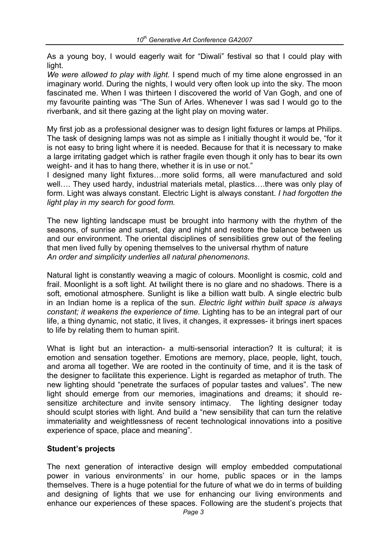As a young boy, I would eagerly wait for "Diwali" festival so that I could play with light.

*We were allowed to play with light.* I spend much of my time alone engrossed in an imaginary world. During the nights, I would very often look up into the sky. The moon fascinated me. When I was thirteen I discovered the world of Van Gogh, and one of my favourite painting was "The Sun of Arles. Whenever I was sad I would go to the riverbank, and sit there gazing at the light play on moving water.

My first job as a professional designer was to design light fixtures or lamps at Philips. The task of designing lamps was not as simple as I initially thought it would be, "for it is not easy to bring light where it is needed. Because for that it is necessary to make a large irritating gadget which is rather fragile even though it only has to bear its own weight- and it has to hang there, whether it is in use or not."

I designed many light fixtures…more solid forms, all were manufactured and sold well…. They used hardy, industrial materials metal, plastics….there was only play of form. Light was always constant. Electric Light is always constant. *I had forgotten the light play in my search for good form.*

The new lighting landscape must be brought into harmony with the rhythm of the seasons, of sunrise and sunset, day and night and restore the balance between us and our environment. The oriental disciplines of sensibilities grew out of the feeling that men lived fully by opening themselves to the universal rhythm of nature *An order and simplicity underlies all natural phenomenons*.

Natural light is constantly weaving a magic of colours. Moonlight is cosmic, cold and frail. Moonlight is a soft light. At twilight there is no glare and no shadows. There is a soft, emotional atmosphere. Sunlight is like a billion watt bulb. A single electric bulb in an Indian home is a replica of the sun. *Electric light within built space is always constant; it weakens the experience of time.* Lighting has to be an integral part of our life, a thing dynamic, not static, it lives, it changes, it expresses- it brings inert spaces to life by relating them to human spirit.

What is light but an interaction- a multi-sensorial interaction? It is cultural; it is emotion and sensation together. Emotions are memory, place, people, light, touch, and aroma all together. We are rooted in the continuity of time, and it is the task of the designer to facilitate this experience. Light is regarded as metaphor of truth. The new lighting should "penetrate the surfaces of popular tastes and values". The new light should emerge from our memories, imaginations and dreams; it should resensitize architecture and invite sensory intimacy. The lighting designer today should sculpt stories with light. And build a "new sensibility that can turn the relative immateriality and weightlessness of recent technological innovations into a positive experience of space, place and meaning".

### **Student's projects**

The next generation of interactive design will employ embedded computational power in various environments' in our home, public spaces or in the lamps themselves. There is a huge potential for the future of what we do in terms of building and designing of lights that we use for enhancing our living environments and enhance our experiences of these spaces. Following are the student's projects that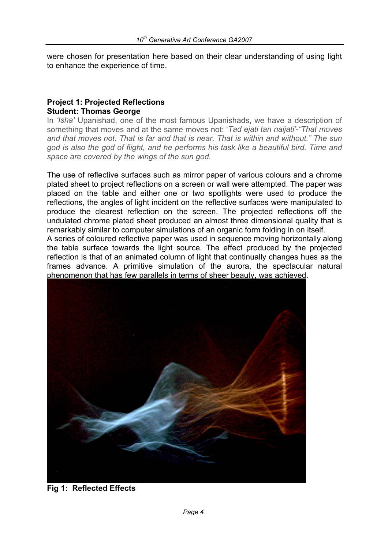were chosen for presentation here based on their clear understanding of using light to enhance the experience of time.

#### **Project 1: Projected Reflections Student: Thomas George**

In *'Isha'* Upanishad, one of the most famous Upanishads, we have a description of something that moves and at the same moves not: '*Tad ejati tan naijati'-"That moves and that moves not. That is far and that is near. That is within and without." The sun god is also the god of flight, and he performs his task like a beautiful bird. Time and space are covered by the wings of the sun god.* 

The use of reflective surfaces such as mirror paper of various colours and a chrome plated sheet to project reflections on a screen or wall were attempted. The paper was placed on the table and either one or two spotlights were used to produce the reflections, the angles of light incident on the reflective surfaces were manipulated to produce the clearest reflection on the screen. The projected reflections off the undulated chrome plated sheet produced an almost three dimensional quality that is remarkably similar to computer simulations of an organic form folding in on itself. A series of coloured reflective paper was used in sequence moving horizontally along the table surface towards the light source. The effect produced by the projected reflection is that of an animated column of light that continually changes hues as the frames advance. A primitive simulation of the aurora, the spectacular natural

phenomenon that has few parallels in terms of sheer beauty, was achieved.



**Fig 1: Reflected Effects**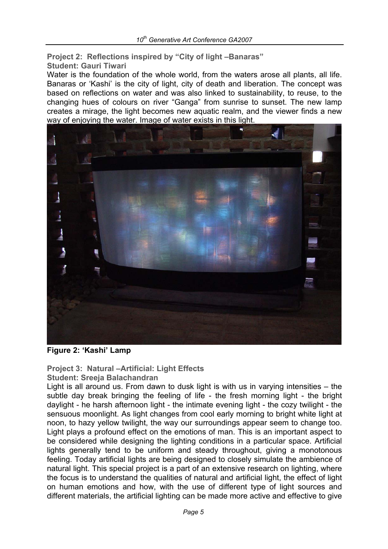**Project 2: Reflections inspired by "City of light –Banaras" Student: Gauri Tiwari** 

Water is the foundation of the whole world, from the waters arose all plants, all life. Banaras or 'Kashi' is the city of light, city of death and liberation. The concept was based on reflections on water and was also linked to sustainability, to reuse, to the changing hues of colours on river "Ganga" from sunrise to sunset. The new lamp creates a mirage, the light becomes new aquatic realm, and the viewer finds a new way of enjoying the water. Image of water exists in this light.



**Figure 2: 'Kashi' Lamp** 

### **Project 3: Natural –Artificial: Light Effects**

#### **Student: Sreeja Balachandran**

Light is all around us. From dawn to dusk light is with us in varying intensities – the subtle day break bringing the feeling of life - the fresh morning light - the bright daylight - he harsh afternoon light - the intimate evening light - the cozy twilight - the sensuous moonlight. As light changes from cool early morning to bright white light at noon, to hazy yellow twilight, the way our surroundings appear seem to change too. Light plays a profound effect on the emotions of man. This is an important aspect to be considered while designing the lighting conditions in a particular space. Artificial lights generally tend to be uniform and steady throughout, giving a monotonous feeling. Today artificial lights are being designed to closely simulate the ambience of natural light. This special project is a part of an extensive research on lighting, where the focus is to understand the qualities of natural and artificial light, the effect of light on human emotions and how, with the use of different type of light sources and different materials, the artificial lighting can be made more active and effective to give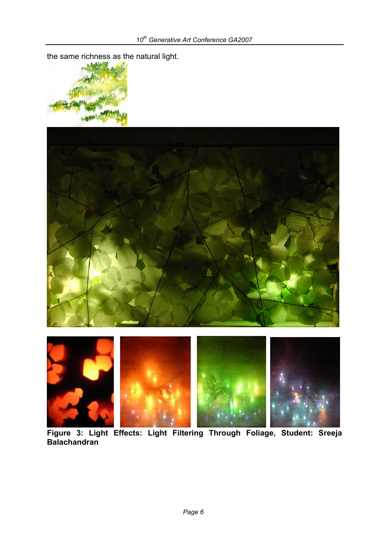the same richness as the natural light.







 **Figure 3: Light Effects: Light Filtering Through Foliage, Student: Sreeja Balachandran**